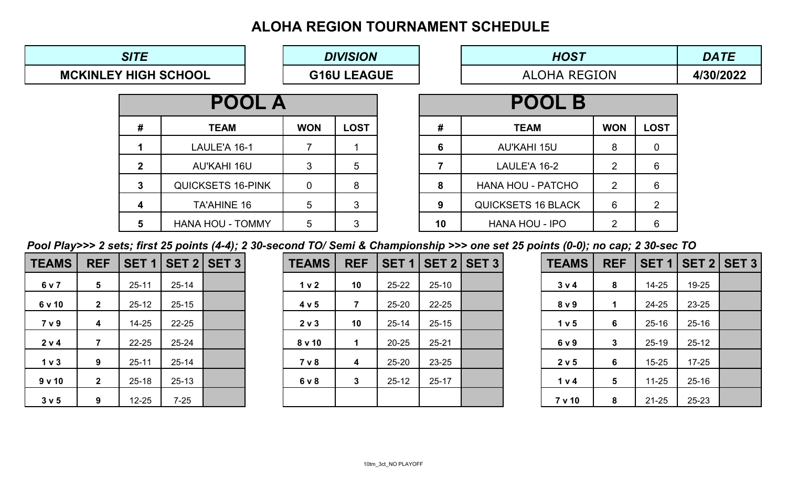# **ALOHA REGION TOURNAMENT SCHEDULE**

| <b>HOST</b>         | <b>DATE</b> |
|---------------------|-------------|
| <b>ALOHA REGION</b> | 4/30/2022   |

|                             | <b>SITE</b>  |                          |                | <b>DIVISION</b>    |    | <b>HOST</b>               | <b>DATE</b>    |                  |  |
|-----------------------------|--------------|--------------------------|----------------|--------------------|----|---------------------------|----------------|------------------|--|
| <b>MCKINLEY HIGH SCHOOL</b> |              |                          |                | <b>G16U LEAGUE</b> |    | <b>ALOHA REGION</b>       | 4/30/2022      |                  |  |
|                             |              | <b>POOL A</b>            |                |                    |    | <b>POOL B</b>             |                |                  |  |
|                             | #            | <b>TEAM</b>              | <b>WON</b>     | <b>LOST</b>        | #  | <b>TEAM</b>               | <b>WON</b>     | <b>LOST</b>      |  |
|                             |              | LAULE'A 16-1             |                |                    | 6  | <b>AU'KAHI 15U</b>        | 8              | $\overline{0}$   |  |
|                             | $\mathbf{2}$ | <b>AU'KAHI 16U</b>       | 3              | 5                  |    | LAULE'A 16-2              | 2              | 6                |  |
|                             | $\mathbf{3}$ | <b>QUICKSETS 16-PINK</b> | $\overline{0}$ | 8                  | 8  | <b>HANA HOU - PATCHO</b>  | $\overline{2}$ | $6 \overline{6}$ |  |
|                             | 4            | <b>TA'AHINE 16</b>       | 5              | 3                  | 9  | <b>QUICKSETS 16 BLACK</b> | 6              | 2 <sup>1</sup>   |  |
|                             | 5            | <b>HANA HOU - TOMMY</b>  | 5              | $\mathfrak{S}$     | 10 | <b>HANA HOU - IPO</b>     | 2              | 6                |  |

*Pool Play>>> 2 sets; first 25 points (4-4); 2 30-second TO/ Semi & Championship >>> one set 25 points (0-0); no cap; 2 30-sec TO*

| <b>TEAMS</b>   | <b>REF</b>              | SET <sub>1</sub> |           | $\vert$ SET 2 $\vert$ SET 3 $\vert$ | <b>TEAMS</b>     | <b>REF</b>   |           | <b>SET 1   SET 2   SET 3  </b> |  | <b>TEAMS</b> | <b>REF</b>      |           | <b>SET 1   SET 2   SET 3  </b> |  |
|----------------|-------------------------|------------------|-----------|-------------------------------------|------------------|--------------|-----------|--------------------------------|--|--------------|-----------------|-----------|--------------------------------|--|
| 6 v 7          | $5\overline{)}$         | $25 - 11$        | $25 - 14$ |                                     | 1 <sub>v</sub> 2 | 10           | $25 - 22$ | $25 - 10$                      |  | 3 v 4        | 8               | $14 - 25$ | 19-25                          |  |
| 6 v 10         | $\mathbf{2}$            | $25 - 12$        | $25 - 15$ |                                     | 4 v 5            |              | 25-20     | 22-25                          |  | 8 v 9        |                 | 24-25     | 23-25                          |  |
| 7 v 9          | $\overline{\mathbf{4}}$ | $14 - 25$        | $22 - 25$ |                                     | 2 v 3            | 10           | $25 - 14$ | $25 - 15$                      |  | 1 v 5        | 6               | $25 - 16$ | $25 - 16$                      |  |
| 2 v 4          | 7                       | $22 - 25$        | $25 - 24$ |                                     | 8 v 10           |              | $20 - 25$ | $25 - 21$                      |  | 6 v 9        | $\mathbf 3$     | $25 - 19$ | $25 - 12$                      |  |
| 1 <sub>v</sub> | 9                       | $25 - 11$        | $25 - 14$ |                                     | 7 v 8            | 4            | $25 - 20$ | 23-25                          |  | 2 v 5        | $6\phantom{1}6$ | $15 - 25$ | $17 - 25$                      |  |
| 9v10           | $\mathbf{2}$            | $25 - 18$        | $25 - 13$ |                                     | 6 v 8            | $\mathbf{3}$ | $25 - 12$ | $25 - 17$                      |  | 1 v 4        | 5               | $11 - 25$ | $25 - 16$                      |  |
| 3 v 5          | 9                       | $12 - 25$        | $7 - 25$  |                                     |                  |              |           |                                |  | 7 v 10       | 8               | $21 - 25$ | 25-23                          |  |

| <b>EAMS</b>      | <b>REF</b>      | <b>SET 1</b> |           | <b>SET 2   SET 3  </b> | <b>TEAMS</b>     | <b>REF</b>   | SET <sub>1</sub> |           | $\vert$ SET 2 $\vert$ SET 3 $\vert$ | <b>TEAMS</b>  | <b>REF</b>      | SET <sub>1</sub> | <b>SET</b> |
|------------------|-----------------|--------------|-----------|------------------------|------------------|--------------|------------------|-----------|-------------------------------------|---------------|-----------------|------------------|------------|
| 6 v 7            | $5\overline{)}$ | $25 - 11$    | $25 - 14$ |                        | 1 <sub>v</sub> 2 | 10           | $25 - 22$        | $25 - 10$ |                                     | 3 v 4         | 8               | $14 - 25$        | 19-25      |
| 5v10             | 2 <sub>2</sub>  | $25 - 12$    | $25 - 15$ |                        | 4 v 5            |              | $25 - 20$        | 22-25     |                                     | 8 v 9         |                 | 24-25            | 23-25      |
| 7 v 9            | 4               | $14 - 25$    | $22 - 25$ |                        | 2 v 3            | 10           | $25 - 14$        | $25 - 15$ |                                     | 1 v 5         | $6\overline{6}$ | $25 - 16$        | $25 - 16$  |
| 2 v 4            | $\overline{7}$  | $22 - 25$    | $25 - 24$ |                        | 8 v 10           |              | $20 - 25$        | $25 - 21$ |                                     | 6 v 9         | $3\phantom{a}$  | $25 - 19$        | $25 - 12$  |
| 1 <sub>v</sub>   | 9               | $25 - 11$    | $25 - 14$ |                        | 7 v 8            | 4            | $25 - 20$        | 23-25     |                                     | 2 v 5         | $6\overline{6}$ | $15 - 25$        | $17 - 25$  |
| $\sqrt{10}$      | 2 <sup>1</sup>  | $25 - 18$    | $25 - 13$ |                        | 6 v 8            | $\mathbf{3}$ | $25 - 12$        | $25 - 17$ |                                     | 1 v 4         | $5\overline{)}$ | $11 - 25$        | $25 - 16$  |
| 3 <sub>v</sub> 5 | 9               | $12 - 25$    | $7 - 25$  |                        |                  |              |                  |           |                                     | <b>7 v 10</b> | 8               | $21 - 25$        | 25-23      |

| <b>TEAMS</b>     | <b>REF</b>     |           | <b>SET 1   SET 2   SET 3  </b> |  | <b>TEAMS</b>     | <b>REF</b>              |           | <b>SET 1   SET 2   SET 3  </b> |  | <b>TEAMS</b>  | <b>REF</b>      | SET 1   SET |           |
|------------------|----------------|-----------|--------------------------------|--|------------------|-------------------------|-----------|--------------------------------|--|---------------|-----------------|-------------|-----------|
| 6 v 7            | 5              | $25 - 11$ | $25 - 14$                      |  | 1 <sub>v</sub> 2 | 10                      | $25 - 22$ | $25 - 10$                      |  | 3 v 4         | 8               | $14 - 25$   | 19-25     |
| 6 v 10           | $\mathbf{2}$   | $25 - 12$ | $25 - 15$                      |  | 4 v 5            | $\overline{7}$          | $25 - 20$ | $22 - 25$                      |  | 8 v 9         |                 | 24-25       | 23-25     |
| 7 v 9            | 4              | $14 - 25$ | $22 - 25$                      |  | 2 v 3            | 10                      | $25 - 14$ | $25 - 15$                      |  | 1 v 5         | $6\phantom{1}$  | $25 - 16$   | $25 - 16$ |
| 2 v 4            |                | $22 - 25$ | $25 - 24$                      |  | 8 v 10           |                         | $20 - 25$ | $25 - 21$                      |  | 6 v 9         | $\mathbf{3}$    | $25 - 19$   | $25 - 12$ |
| 1 <sub>v</sub> 3 | 9              | $25 - 11$ | $25 - 14$                      |  | 7 v 8            | $\overline{\mathbf{4}}$ | $25 - 20$ | 23-25                          |  | 2 v 5         | 6               | $15 - 25$   | $17 - 25$ |
| 9v10             | 2 <sup>1</sup> | $25 - 18$ | $25 - 13$                      |  | 6 v 8            | $3\phantom{a}$          | $25 - 12$ | $25 - 17$                      |  | 1 v 4         | $5\overline{)}$ | $11 - 25$   | $25 - 16$ |
| 3 v 5            | 9              | $12 - 25$ | $7 - 25$                       |  |                  |                         |           |                                |  | <b>7 v 10</b> | 8               | $21 - 25$   | 25-23     |